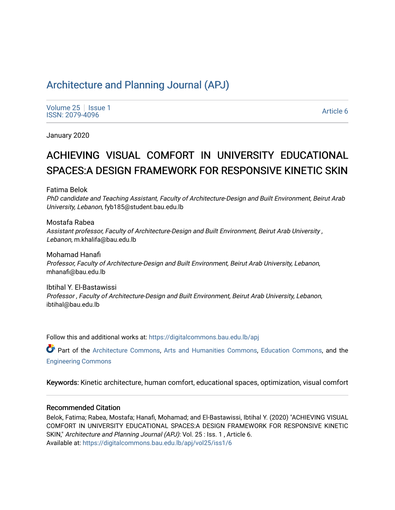# [Architecture and Planning Journal \(APJ\)](https://digitalcommons.bau.edu.lb/apj)

[Volume 25](https://digitalcommons.bau.edu.lb/apj/vol25) | [Issue 1](https://digitalcommons.bau.edu.lb/apj/vol25/iss1) Political Executive Contract of the Second Contract of the Second Contract of the [Article 6](https://digitalcommons.bau.edu.lb/apj/vol25/iss1/6) Article 6 Article 6 Article 6

January 2020

# ACHIEVING VISUAL COMFORT IN UNIVERSITY EDUCATIONAL SPACES:A DESIGN FRAMEWORK FOR RESPONSIVE KINETIC SKIN

Fatima Belok

PhD candidate and Teaching Assistant, Faculty of Architecture-Design and Built Environment, Beirut Arab University, Lebanon, fyb185@student.bau.edu.lb

Mostafa Rabea Assistant professor, Faculty of Architecture-Design and Built Environment, Beirut Arab University , Lebanon, m.khalifa@bau.edu.lb

Mohamad Hanafi Professor, Faculty of Architecture-Design and Built Environment, Beirut Arab University, Lebanon, mhanafi@bau.edu.lb

Ibtihal Y. El-Bastawissi Professor , Faculty of Architecture-Design and Built Environment, Beirut Arab University, Lebanon, ibtihal@bau.edu.lb

Follow this and additional works at: [https://digitalcommons.bau.edu.lb/apj](https://digitalcommons.bau.edu.lb/apj?utm_source=digitalcommons.bau.edu.lb%2Fapj%2Fvol25%2Fiss1%2F6&utm_medium=PDF&utm_campaign=PDFCoverPages) 

Part of the [Architecture Commons](http://network.bepress.com/hgg/discipline/773?utm_source=digitalcommons.bau.edu.lb%2Fapj%2Fvol25%2Fiss1%2F6&utm_medium=PDF&utm_campaign=PDFCoverPages), [Arts and Humanities Commons,](http://network.bepress.com/hgg/discipline/438?utm_source=digitalcommons.bau.edu.lb%2Fapj%2Fvol25%2Fiss1%2F6&utm_medium=PDF&utm_campaign=PDFCoverPages) [Education Commons](http://network.bepress.com/hgg/discipline/784?utm_source=digitalcommons.bau.edu.lb%2Fapj%2Fvol25%2Fiss1%2F6&utm_medium=PDF&utm_campaign=PDFCoverPages), and the [Engineering Commons](http://network.bepress.com/hgg/discipline/217?utm_source=digitalcommons.bau.edu.lb%2Fapj%2Fvol25%2Fiss1%2F6&utm_medium=PDF&utm_campaign=PDFCoverPages) 

Keywords: Kinetic architecture, human comfort, educational spaces, optimization, visual comfort

#### Recommended Citation

Belok, Fatima; Rabea, Mostafa; Hanafi, Mohamad; and El-Bastawissi, Ibtihal Y. (2020) "ACHIEVING VISUAL COMFORT IN UNIVERSITY EDUCATIONAL SPACES:A DESIGN FRAMEWORK FOR RESPONSIVE KINETIC SKIN," Architecture and Planning Journal (APJ): Vol. 25 : Iss. 1, Article 6. Available at: [https://digitalcommons.bau.edu.lb/apj/vol25/iss1/6](https://digitalcommons.bau.edu.lb/apj/vol25/iss1/6?utm_source=digitalcommons.bau.edu.lb%2Fapj%2Fvol25%2Fiss1%2F6&utm_medium=PDF&utm_campaign=PDFCoverPages)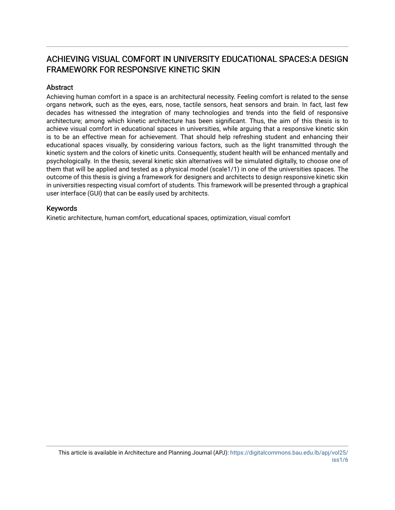# ACHIEVING VISUAL COMFORT IN UNIVERSITY EDUCATIONAL SPACES:A DESIGN FRAMEWORK FOR RESPONSIVE KINETIC SKIN

### **Abstract**

Achieving human comfort in a space is an architectural necessity. Feeling comfort is related to the sense organs network, such as the eyes, ears, nose, tactile sensors, heat sensors and brain. In fact, last few decades has witnessed the integration of many technologies and trends into the field of responsive architecture; among which kinetic architecture has been significant. Thus, the aim of this thesis is to achieve visual comfort in educational spaces in universities, while arguing that a responsive kinetic skin is to be an effective mean for achievement. That should help refreshing student and enhancing their educational spaces visually, by considering various factors, such as the light transmitted through the kinetic system and the colors of kinetic units. Consequently, student health will be enhanced mentally and psychologically. In the thesis, several kinetic skin alternatives will be simulated digitally, to choose one of them that will be applied and tested as a physical model (scale1/1) in one of the universities spaces. The outcome of this thesis is giving a framework for designers and architects to design responsive kinetic skin in universities respecting visual comfort of students. This framework will be presented through a graphical user interface (GUI) that can be easily used by architects.

#### Keywords

Kinetic architecture, human comfort, educational spaces, optimization, visual comfort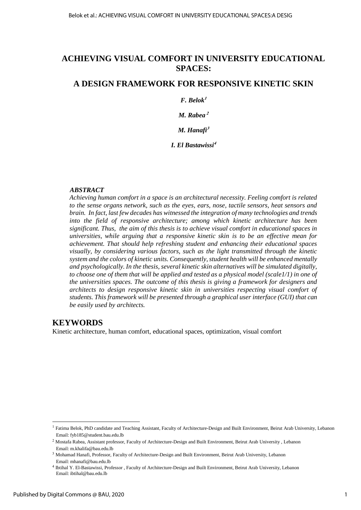# **ACHIEVING VISUAL COMFORT IN UNIVERSITY EDUCATIONAL SPACES:**

# **A DESIGN FRAMEWORK FOR RESPONSIVE KINETIC SKIN**

## *F. Belok<sup>1</sup>*

*M. Rabea <sup>2</sup>*

*M. Hanafi<sup>3</sup>*

*I. El Bastawissi<sup>4</sup>*

#### *ABSTRACT*

*Achieving human comfort in a space is an architectural necessity. Feeling comfort is related to the sense organs network, such as the eyes, ears, nose, tactile sensors, heat sensors and brain. In fact, last few decades has witnessed the integration of many technologies and trends into the field of responsive architecture; among which kinetic architecture has been significant. Thus, the aim of this thesis is to achieve visual comfort in educational spaces in universities, while arguing that a responsive kinetic skin is to be an effective mean for achievement. That should help refreshing student and enhancing their educational spaces visually, by considering various factors, such as the light transmitted through the kinetic system and the colors of kinetic units. Consequently, student health will be enhanced mentally and psychologically. In the thesis, several kinetic skin alternatives will be simulated digitally, to choose one of them that will be applied and tested as a physical model (scale1/1) in one of the universities spaces. The outcome of this thesis is giving a framework for designers and architects to design responsive kinetic skin in universities respecting visual comfort of students. This framework will be presented through a graphical user interface (GUI) that can be easily used by architects.* 

# **KEYWORDS**

Kinetic architecture, human comfort, educational spaces, optimization, visual comfort

l

<sup>&</sup>lt;sup>1</sup> Fatima Belok, PhD candidate and Teaching Assistant, Faculty of Architecture-Design and Built Environment, Beirut Arab University, Lebanon Email: fyb185@student.bau.edu.lb

<sup>2</sup> Mostafa Rabea, Assistant professor, Faculty of Architecture-Design and Built Environment, Beirut Arab University , Lebanon Email: m.khalifa@bau.edu.lb

<sup>3</sup> Mohamad Hanafi, Professor, Faculty of Architecture-Design and Built Environment, Beirut Arab University, Lebanon Email: mhanafi@bau.edu.lb

<sup>4</sup> Ibtihal Y. El-Bastawissi, Professor , Faculty of Architecture-Design and Built Environment, Beirut Arab University, Lebanon Email: ibtihal@bau.edu.lb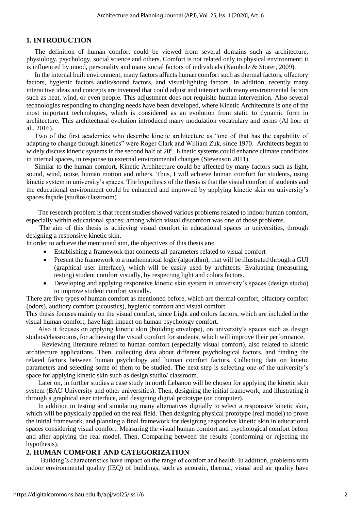#### **1. INTRODUCTION**

The definition of human comfort could be viewed from several domains such as architecture, physiology, psychology, social science and others. Comfort is not related only to physical environment; it is influenced by mood, personality and many social factors of individuals (Kamholz & Storer, 2009).

In the internal built environment, many factors affects human comfort such as thermal factors, olfactory factors, hygienic factors audio/sound factors, and visual/lighting factors. In addition, recently many interactive ideas and concepts are invented that could adjust and interact with many environmental factors such as heat, wind, or even people. This adjustment does not requisite human intervention. Also several technologies responding to changing needs have been developed, where Kinetic Architecture is one of the most important technologies, which is considered as an evolution from static to dynamic form in architecture. This architectural evolution introduced many modulation vocabulary and terms (Al horr et al., 2016).

Two of the first academics who describe kinetic architecture as "one of that has the capability of adapting to change through kinetics" were Roger Clark and William Zuk, since 1970. Architects began to widely discuss kinetic systems in the second half of  $20<sup>th</sup>$ . Kinetic systems could enhance climate conditions in internal spaces, in response to external environmental changes (Stevenson 2011).

Similar to the human comfort, Kinetic Architecture could be affected by many factors such as light, sound, wind, noise, human motion and others. Thus, I will achieve human comfort for students, using kinetic system in university's spaces. The hypothesis of the thesis is that the visual comfort of students and the educational environment could be enhanced and improved by applying kinetic skin on university's spaces façade (studios/classroom)

The research problem is that recent studies showed various problems related to indoor human comfort, especially within educational spaces; among which visual discomfort was one of those problems.

 The aim of this thesis is achieving visual comfort in educational spaces in universities, through designing a responsive kinetic skin.

In order to achieve the mentioned aim, the objectives of this thesis are:

- Establishing a framework that connects all parameters related to visual comfort
- Present the framework to a mathematical logic (algorithm), that will be illustrated through a GUI (graphical user interface), which will be easily used by architects. Evaluating (measuring, testing) student comfort visually, by respecting light and colors factors.
- Developing and applying responsive kinetic skin system in university's spaces (design studio) to improve student comfort visually.

There are five types of human comfort as mentioned before, which are thermal comfort, olfactory comfort (odors), auditory comfort (acoustics), hygienic comfort and visual comfort.

This thesis focuses mainly on the visual comfort, since Light and colors factors, which are included in the visual human comfort, have high impact on human psychology comfort.

Also it focuses on applying kinetic skin (building envelope), on university's spaces such as design studios/classrooms, for achieving the visual comfort for students, which will improve their performance.

 Reviewing literature related to human comfort (especially visual comfort), also related to kinetic architecture applications. Then, collecting data about different psychological factors, and finding the related factors between human psychology and human comfort factors. Collecting data on kinetic parameters and selecting some of them to be studied. The next step is selecting one of the university's space for applying kinetic skin such as design studio/ classroom.

Later on, in further studies a case study in north Lebanon will be chosen for applying the kinetic skin system (BAU University and other universities). Then, designing the initial framework, and illustrating it through a graphical user interface, and designing digital prototype (on computer).

In addition to testing and simulating many alternatives digitally to select a responsive kinetic skin, which will be physically applied on the real field. Then designing physical prototype (real model) to prove the initial framework, and planning a final framework for designing responsive kinetic skin in educational spaces considering visual comfort. Measuring the visual human comfort and psychological comfort before and after applying the real model. Then, Comparing between the results (conforming or rejecting the hypothesis).

#### **2. HUMAN COMFORT AND CATEGORIZATION**

Building's characteristics have impact on the range of comfort and health. In addition, problems with indoor environmental quality (IEQ) of buildings, such as acoustic, thermal, visual and air quality have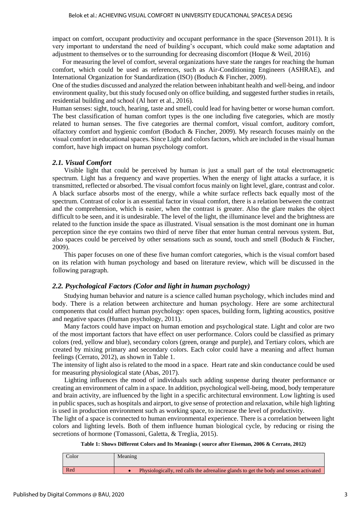impact on comfort, occupant productivity and occupant performance in the space (Stevenson 2011). It is very important to understand the need of building's occupant, which could make some adaptation and adjustment to themselves or to the surrounding for decreasing discomfort (Hoque & Weil, 2016)

 For measuring the level of comfort, several organizations have state the ranges for reaching the human comfort, which could be used as references, such as Air-Conditioning Engineers (ASHRAE), and International Organization for Standardization (ISO) (Boduch & Fincher, 2009).

One of the studies discussed and analyzed the relation between inhabitant health and well-being, and indoor environment quality, but this study focused only on office building, and suggested further studies in retails, residential building and school (Al horr et al., 2016).

Human senses: sight, touch, hearing, taste and smell, could lead for having better or worse human comfort. The best classification of human comfort types is the one including five categories, which are mostly related to human senses. The five categories are thermal comfort, visual comfort, auditory comfort, olfactory comfort and hygienic comfort (Boduch & Fincher, 2009). My research focuses mainly on the visual comfort in educational spaces. Since Light and colors factors, which are included in the visual human comfort, have high impact on human psychology comfort.

#### *2.1. Visual Comfort*

 Visible light that could be perceived by human is just a small part of the total electromagnetic spectrum. Light has a frequency and wave properties. When the energy of light attacks a surface, it is transmitted, reflected or absorbed. The visual comfort focus mainly on light level, glare, contrast and color. A black surface absorbs most of the energy, while a white surface reflects back equally most of the spectrum. Contrast of color is an essential factor in visual comfort, there is a relation between the contrast and the comprehension, which is easier, when the contrast is greater. Also the glare makes the object difficult to be seen, and it is undesirable. The level of the light, the illuminance level and the brightness are related to the function inside the space as illustrated. Visual sensation is the most dominant one in human perception since the eye contains two third of nerve fiber that enter human central nervous system. But, also spaces could be perceived by other sensations such as sound, touch and smell (Boduch & Fincher, 2009).

 This paper focuses on one of these five human comfort categories, which is the visual comfort based on its relation with human psychology and based on literature review, which will be discussed in the following paragraph.

#### *2.2. Psychological Factors (Color and light in human psychology)*

 Studying human behavior and nature is a science called human psychology, which includes mind and body. There is a relation between architecture and human psychology. Here are some architectural components that could affect human psychology: open spaces, building form, lighting acoustics, positive and negative spaces (Human psychology, 2011).

 Many factors could have impact on human emotion and psychological state. Light and color are two of the most important factors that have effect on user performance. Colors could be classified as primary colors (red, yellow and blue), secondary colors (green, orange and purple), and Tertiary colors, which are created by mixing primary and secondary colors. Each color could have a meaning and affect human feelings (Cerrato, 2012), as shown in Table 1.

The intensity of light also is related to the mood in a space. Heart rate and skin conductance could be used for measuring physiological state (Abas, 2017).

Lighting influences the mood of individuals such adding suspense during theater performance or creating an environment of calm in a space. In addition, psychological well-being, mood, body temperature and brain activity, are influenced by the light in a specific architectural environment. Low lighting is used in public spaces, such as hospitals and airport, to give sense of protection and relaxation, while high lighting is used in production environment such as working space, to increase the level of productivity.

The light of a space is connected to human environmental experience. There is a correlation between light colors and lighting levels. Both of them influence human biological cycle, by reducing or rising the secretions of hormone (Tomassoni, Galetta, & Treglia, 2015).

| Table 1: Shows Different Colors and Its Meanings (source after Eiseman, 2006 & Cerrato, 2012) |  |  |
|-----------------------------------------------------------------------------------------------|--|--|
|-----------------------------------------------------------------------------------------------|--|--|

| Color | Meaning                                                                               |
|-------|---------------------------------------------------------------------------------------|
| Red   | Physiologically, red calls the adrenaline glands to get the body and senses activated |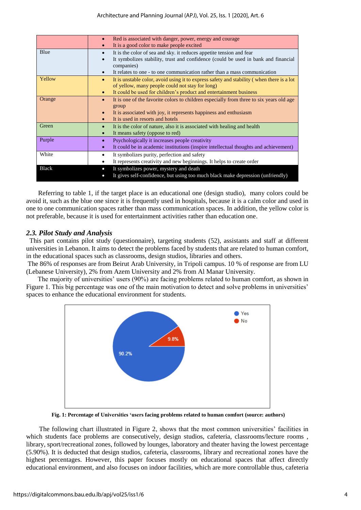|              | Red is associated with danger, power, energy and courage<br>It is a good color to make people excited                                                                                                                                                 |
|--------------|-------------------------------------------------------------------------------------------------------------------------------------------------------------------------------------------------------------------------------------------------------|
| Blue         | It is the color of sea and sky, it reduces appetite tension and fear<br>It symbolizes stability, trust and confidence (could be used in bank and financial<br>companies)<br>It relates to one - to one communication rather than a mass communication |
| Yellow       | It is unstable color, avoid using it to express safety and stability (when there is a lot<br>$\bullet$<br>of yellow, many people could not stay for long)<br>It could be used for children's product and entertainment business                       |
| Orange       | It is one of the favorite colors to children especially from three to six years old age<br>group<br>It is associated with joy, it represents happiness and enthusiasm<br>It is used in resorts and hotels                                             |
| Green        | It is the color of nature, also it is associated with healing and health<br>It means safety (oppose to red)<br>$\bullet$                                                                                                                              |
| Purple       | Psychologically it increases people creativity<br>It could be in academic institutions (inspire intellectual thoughts and achievement)                                                                                                                |
| White        | It symbolizes purity, perfection and safety<br>It represents creativity and new beginnings. It helps to create order                                                                                                                                  |
| <b>Black</b> | It symbolizes power, mystery and death<br>$\bullet$<br>It gives self-confidence, but using too much black make depression (unfriendly)                                                                                                                |

Referring to table 1, if the target place is an educational one (design studio), many colors could be avoid it, such as the blue one since it is frequently used in hospitals, because it is a calm color and used in one to one communication spaces rather than mass communication spaces. In addition, the yellow color is not preferable, because it is used for entertainment activities rather than education one.

#### *2.3. Pilot Study and Analysis*

 This part contains pilot study (questionnaire), targeting students (52), assistants and staff at different universities in Lebanon. It aims to detect the problems faced by students that are related to human comfort, in the educational spaces such as classrooms, design studios, libraries and others.

The 86% of responses are from Beirut Arab University, in Tripoli campus. 10 % of response are from LU (Lebanese University), 2% from Azem University and 2% from Al Manar University.

 The majority of universities' users (90%) are facing problems related to human comfort, as shown in Figure 1. This big percentage was one of the main motivation to detect and solve problems in universities' spaces to enhance the educational environment for students.



**Fig. 1: Percentage of Universities 'users facing problems related to human comfort (source: authors)**

The following chart illustrated in Figure 2, shows that the most common universities' facilities in which students face problems are consecutively, design studios, cafeteria, classrooms/lecture rooms, library, sport/recreational zones, followed by lounges, laboratory and theater having the lowest percentage (5.90%). It is deducted that design studios, cafeteria, classrooms, library and recreational zones have the highest percentages. However, this paper focuses mostly on educational spaces that affect directly educational environment, and also focuses on indoor facilities, which are more controllable thus, cafeteria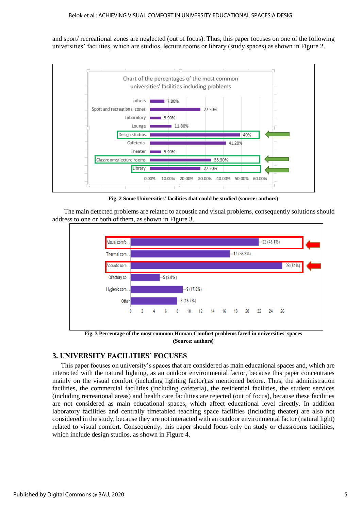and sport/ recreational zones are neglected (out of focus). Thus, this paper focuses on one of the following universities' facilities, which are studios, lecture rooms or library (study spaces) as shown in Figure 2.



**Fig. 2 Some Universities' facilities that could be studied (source: authors)**

 The main detected problems are related to acoustic and visual problems, consequently solutions should address to one or both of them, as shown in Figure 3.



## **3. UNIVERSITY FACILITIES' FOCUSES**

This paper focuses on university's spaces that are considered as main educational spaces and, which are interacted with the natural lighting, as an outdoor environmental factor, because this paper concentrates mainly on the visual comfort (including lighting factor),as mentioned before. Thus, the administration facilities, the commercial facilities (including cafeteria), the residential facilities, the student services (including recreational areas) and health care facilities are rejected (out of focus), because these facilities are not considered as main educational spaces, which affect educational level directly. In addition laboratory facilities and centrally timetabled teaching space facilities (including theater) are also not considered in the study, because they are not interacted with an outdoor environmental factor (natural light) related to visual comfort. Consequently, this paper should focus only on study or classrooms facilities, which include design studios, as shown in Figure 4.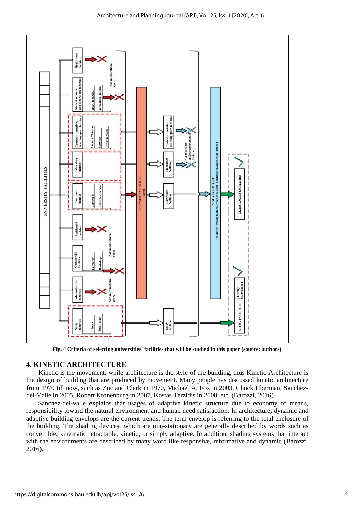

**Fig. 4 Criteria of selecting universities' facilities that will be studied in this paper (source: authors)**

#### **4. KINETIC ARCHITECTURE**

Kinetic is the movement, while architecture is the style of the building, thus Kinetic Architecture is the design of building that are produced by movement. Many people has discussed kinetic architecture from 1970 till now, such as Zuc and Clark in 1970, Michael A. Fox in 2003, Chuck Hberman, Sanchezdel-Valle in 2005, Robert Kronenburg in 2007, Kostas Terzidis in 2008, etc. (Barozzi, 2016).

Sanchez-del-valle explains that usages of adaptive kinetic structure due to economy of means, responsibility toward the natural environment and human need satisfaction. In architecture, dynamic and adaptive building envelops are the current trends. The term envelop is referring to the total enclosure of the building. The shading devices, which are non-stationary are generally described by words such as convertible, kinematic retractable, kinetic, or simply adaptive. In addition, shading systems that interact with the environments are described by many word like responsive, reformative and dynamic (Barozzi, 2016).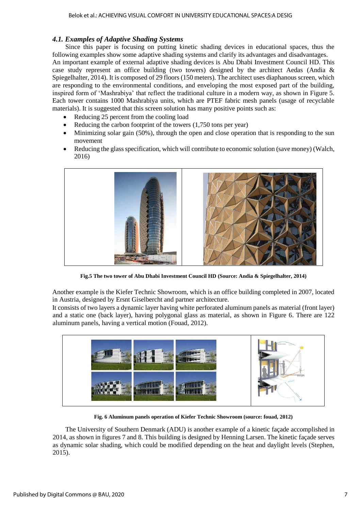### *4.1. Examples of Adaptive Shading Systems*

Since this paper is focusing on putting kinetic shading devices in educational spaces, thus the following examples show some adaptive shading systems and clarify its advantages and disadvantages.

An important example of external adaptive shading devices is Abu Dhabi Investment Council HD. This case study represent an office building (two towers) designed by the architect Aedas (Andia  $\&$ Spiegelhalter, 2014). It is composed of 29 floors (150 meters). The architect uses diaphanous screen, which are responding to the environmental conditions, and enveloping the most exposed part of the building, inspired form of 'Mashrabiya' that reflect the traditional culture in a modern way, as shown in Figure 5. Each tower contains 1000 Mashrabiya units, which are PTEF fabric mesh panels (usage of recyclable materials). It is suggested that this screen solution has many positive points such as:

- Reducing 25 percent from the cooling load
- Reducing the carbon footprint of the towers (1,750 tons per year)
- Minimizing solar gain (50%), through the open and close operation that is responding to the sun movement
- Reducing the glass specification, which will contribute to economic solution (save money) (Walch, 2016)



**Fig.5 The two tower of Abu Dhabi Investment Council HD (Source: Andia & Spiegelhalter, 2014)**

Another example is the Kiefer Technic Showroom, which is an office building completed in 2007, located in Austria, designed by Ersnt Giselbercht and partner architecture.

It consists of two layers a dynamic layer having white perforated aluminum panels as material (front layer) and a static one (back layer), having polygonal glass as material, as shown in Figure 6. There are 122 aluminum panels, having a vertical motion (Fouad, 2012).



**Fig. 6 Aluminum panels operation of Kiefer Technic Showroom (source: fouad, 2012)**

The University of Southern Denmark (ADU) is another example of a kinetic façade accomplished in 2014, as shown in figures 7 and 8. This building is designed by Henning Larsen. The kinetic façade serves as dynamic solar shading, which could be modified depending on the heat and daylight levels (Stephen, 2015).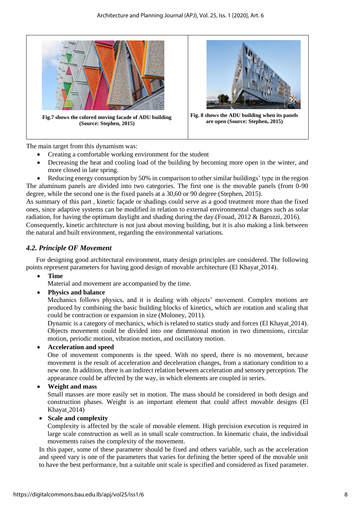

**Fig.7 shows the colored moving facade of ADU building (Source: Stephen, 2015)**



**Fig. 8 shows the ADU building when its panels are open (Source: Stephen, 2015)**

The main target from this dynamism was:

- Creating a comfortable working environment for the student
- Decreasing the heat and cooling load of the building by becoming more open in the winter, and more closed in late spring.
- Reducing energy consumption by 50% in comparison to other similar buildings' type in the region The aluminum panels are divided into two categories. The first one is the movable panels (from 0-90 degree, while the second one is the fixed panels at a 30,60 or 90 degree (Stephen, 2015).

As summary of this part , kinetic façade or shadings could serve as a good treatment more than the fixed ones, since adaptive systems can be modified in relation to external environmental changes such as solar radiation, for having the optimum daylight and shading during the day.(Fouad, 2012 & Barozzi, 2016). Consequently, kinetic architecture is not just about moving building, but it is also making a link between the natural and built environment, regarding the environmental variations.

## *4.2. Principle OF Movement*

 For designing good architectural environment, many design principles are considered. The following points represent parameters for having good design of movable architecture (El Khayat 2014).

**Time**

Material and movement are accompanied by the time.

**Physics and balance** 

Mechanics follows physics, and it is dealing with objects' movement. Complex motions are produced by combining the basic building blocks of kinetics, which are rotation and scaling that could be contraction or expansion in size (Moloney, 2011).

Dynamic is a category of mechanics, which is related to statics study and forces (El Khayat 2014). Objects movement could be divided into one dimensional motion in two dimensions, circular motion, periodic motion, vibration motion, and oscillatory motion.

### **Acceleration and speed**

One of movement components is the speed. With no speed, there is no movement, because movement is the result of acceleration and deceleration changes, from a stationary condition to a new one. In addition, there is an indirect relation between acceleration and sensory perception. The appearance could be affected by the way, in which elements are coupled in series.

### **Weight and mass**

Small masses are more easily set in motion. The mass should be considered in both design and construction phases. Weight is an important element that could affect movable designs (El Khayat¸2014)

#### **Scale and complexity**

Complexity is affected by the scale of movable element. High precision execution is required in large scale construction as well as in small scale construction. In kinematic chain, the individual movements raises the complexity of the movement.

In this paper, some of these parameter should be fixed and others variable, such as the acceleration and speed vary is one of the parameters that varies for defining the better speed of the movable unit to have the best performance, but a suitable unit scale is specified and considered as fixed parameter.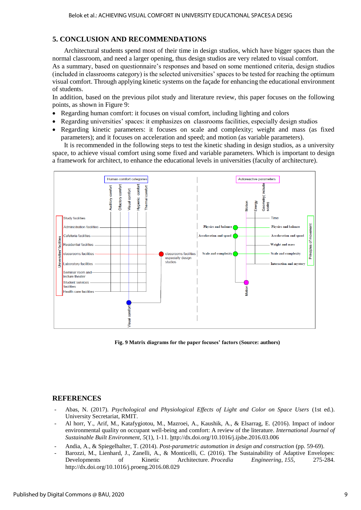# **5. CONCLUSION AND RECOMMENDATIONS**

 Architectural students spend most of their time in design studios, which have bigger spaces than the normal classroom, and need a larger opening, thus design studios are very related to visual comfort.

As a summary, based on questionnaire's responses and based on some mentioned criteria, design studios (included in classrooms category) is the selected universities' spaces to be tested for reaching the optimum visual comfort. Through applying kinetic systems on the façade for enhancing the educational environment of students.

In addition, based on the previous pilot study and literature review, this paper focuses on the following points, as shown in Figure 9:

- Regarding human comfort: it focuses on visual comfort, including lighting and colors
- Regarding universities' spaces: it emphasizes on classrooms facilities, especially design studios
- Regarding kinetic parameters: it focuses on scale and complexity; weight and mass (as fixed parameters); and it focuses on acceleration and speed; and motion (as variable parameters).

 It is recommended in the following steps to test the kinetic shading in design studios, as a university space, to achieve visual comfort using some fixed and variable parameters. Which is important to design a framework for architect, to enhance the educational levels in universities (faculty of architecture).



**Fig. 9 Matrix diagrams for the paper focuses' factors (Source: authors)**

# **REFERENCES**

- Abas, N. (2017). *Psychological and Physiological Effects of Light and Color on Space Users* (1st ed.). University Secretariat, RMIT.
- Al horr, Y., Arif, M., Katafygiotou, M., Mazroei, A., Kaushik, A., & Elsarrag, E. (2016). Impact of indoor environmental quality on occupant well-being and comfort: A review of the literature. *International Journal of Sustainable Built Environment*, *5*(1), 1-11[. http://dx.doi.org/10.1016/j.ijsbe.2016.03.006](http://dx.doi.org/10.1016/j.ijsbe.2016.03.006)
- Andia, A., & Spiegelhalter, T. (2014). *Post-parametric automation in design and construction* (pp. 59-69).
- Barozzi, M., Lienhard, J., Zanelli, A., & Monticelli, C. (2016). The Sustainability of Adaptive Envelopes: Developments of Kinetic Architecture. *Procedia Engineering*, *155*, 275-284. <http://dx.doi.org/10.1016/j.proeng.2016.08.029>